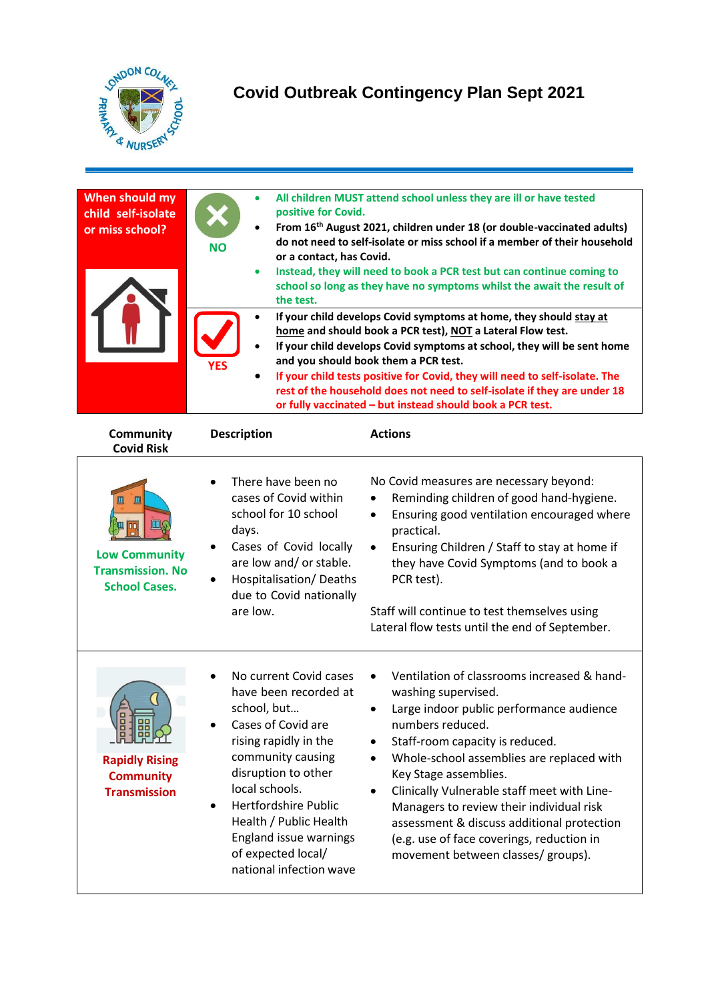

## **Covid Outbreak Contingency Plan Sept 2021**

| When should my<br>child self-isolate<br>or miss school?                    | positive for Covid.<br><b>NO</b><br>or a contact, has Covid.<br>the test.                                                                                                                                                                                                                                                           | All children MUST attend school unless they are ill or have tested<br>From 16 <sup>th</sup> August 2021, children under 18 (or double-vaccinated adults)<br>do not need to self-isolate or miss school if a member of their household<br>Instead, they will need to book a PCR test but can continue coming to<br>school so long as they have no symptoms whilst the await the result of<br>If your child develops Covid symptoms at home, they should stay at<br>home and should book a PCR test), NOT a Lateral Flow test.<br>If your child develops Covid symptoms at school, they will be sent home<br>and you should book them a PCR test.<br>If your child tests positive for Covid, they will need to self-isolate. The<br>rest of the household does not need to self-isolate if they are under 18<br>or fully vaccinated - but instead should book a PCR test. |
|----------------------------------------------------------------------------|-------------------------------------------------------------------------------------------------------------------------------------------------------------------------------------------------------------------------------------------------------------------------------------------------------------------------------------|-------------------------------------------------------------------------------------------------------------------------------------------------------------------------------------------------------------------------------------------------------------------------------------------------------------------------------------------------------------------------------------------------------------------------------------------------------------------------------------------------------------------------------------------------------------------------------------------------------------------------------------------------------------------------------------------------------------------------------------------------------------------------------------------------------------------------------------------------------------------------|
| <b>Community</b><br><b>Covid Risk</b>                                      | <b>Description</b>                                                                                                                                                                                                                                                                                                                  | <b>Actions</b>                                                                                                                                                                                                                                                                                                                                                                                                                                                                                                                                                                                                                                                                                                                                                                                                                                                          |
| <b>Low Community</b><br><b>Transmission. No</b><br><b>School Cases.</b>    | There have been no<br>cases of Covid within<br>school for 10 school<br>days.<br>Cases of Covid locally<br>are low and/ or stable.<br>Hospitalisation/Deaths<br>due to Covid nationally<br>are low.                                                                                                                                  | No Covid measures are necessary beyond:<br>Reminding children of good hand-hygiene.<br>Ensuring good ventilation encouraged where<br>٠<br>practical.<br>Ensuring Children / Staff to stay at home if<br>they have Covid Symptoms (and to book a<br>PCR test).<br>Staff will continue to test themselves using<br>Lateral flow tests until the end of September.                                                                                                                                                                                                                                                                                                                                                                                                                                                                                                         |
| 8<br>器<br><b>Rapidly Rising</b><br><b>Community</b><br><b>Transmission</b> | No current Covid cases<br>have been recorded at<br>school, but<br>Cases of Covid are<br>rising rapidly in the<br>community causing<br>disruption to other<br>local schools.<br><b>Hertfordshire Public</b><br>$\bullet$<br>Health / Public Health<br><b>England issue warnings</b><br>of expected local/<br>national infection wave | Ventilation of classrooms increased & hand-<br>washing supervised.<br>Large indoor public performance audience<br>numbers reduced.<br>Staff-room capacity is reduced.<br>Whole-school assemblies are replaced with<br>$\bullet$<br>Key Stage assemblies.<br>Clinically Vulnerable staff meet with Line-<br>Managers to review their individual risk<br>assessment & discuss additional protection<br>(e.g. use of face coverings, reduction in<br>movement between classes/ groups).                                                                                                                                                                                                                                                                                                                                                                                    |